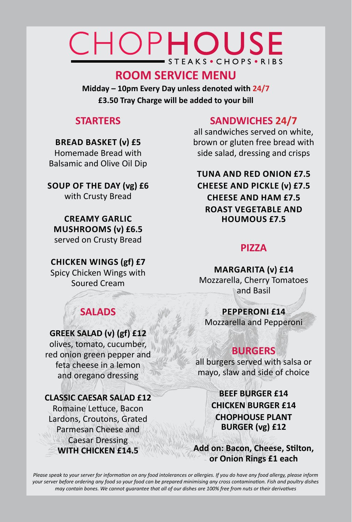# CHOPHOUSE STEAKS • CHOPS • RIBS

# **ROOM SERVICE MENU**

**Midday – 10pm Every Day unless denoted with 24/7 £3.50 Tray Charge will be added to your bill**

## **STARTERS**

### **Bread Basket (v) £5**

Homemade Bread with Balsamic and Olive Oil Dip

**Soup of the Day (vg) £6** with Crusty Bread

**Creamy Garlic Mushrooms (v) £6.5** served on Crusty Bread

### **Chicken Wings (gf) £7**

Spicy Chicken Wings with Soured Cream

**SALADS**

**GREEK SALAD (v) (gf) £12** olives, tomato, cucumber, red onion green pepper and feta cheese in a lemon and oregano dressing

# **SANDWICHES 24/7**

all sandwiches served on white, brown or gluten free bread with side salad, dressing and crisps

## **Tuna and Red Onion £7.5 Cheese and Pickle (v) £7.5 Cheese and Ham £7.5 Roast Vegetable and Houmous £7.5**

## **PIZZA**

**Margarita (v) £14** Mozzarella, Cherry Tomatoes and Basil

## **Pepperoni £14**

Mozzarella and Pepperoni

# **BURGERS**

all burgers served with salsa or mayo, slaw and side of choice

> **BEEF BURGER £14 CHICKEN BURGER £14 CHOPHOUSE PLANT BURGER (vg) £12**

**Add on: Bacon, Cheese, Stilton, or Onion Rings £1 each** 

### **CLASSIC CAESAR SALAD £12** Romaine Lettuce, Bacon Lardons, Croutons, Grated Parmesan Cheese and Caesar Dressing **WITH CHICKEN £14.5**

*Please speak to your server for information on any food intolerances or allergies. If you do have any food allergy, please inform your server before ordering any food so your food can be prepared minimising any cross contamination. Fish and poultry dishes may contain bones. We cannot guarantee that all of our dishes are 100% free from nuts or their derivatives*